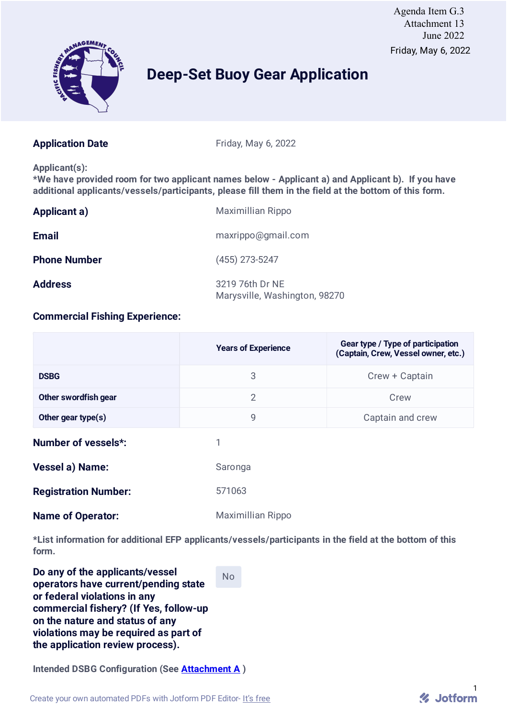

# **Deep-Set Buoy Gear Application**

**Application Date** Friday, May 6, 2022

**Applicant(s):**

**\*We have provided room for two applicant names below - Applicant a) and Applicant b). If you have additional applicants/vessels/participants, please fill them in the field at the bottom of this form.**

| <b>Applicant a)</b> | Maximillian Rippo                                |
|---------------------|--------------------------------------------------|
| <b>Email</b>        | maxrippo@gmail.com                               |
| <b>Phone Number</b> | $(455)$ 273-5247                                 |
| <b>Address</b>      | 3219 76th Dr NE<br>Marysville, Washington, 98270 |

## **Commercial Fishing Experience:**

|                             | <b>Years of Experience</b> | Gear type / Type of participation<br>(Captain, Crew, Vessel owner, etc.) |
|-----------------------------|----------------------------|--------------------------------------------------------------------------|
| <b>DSBG</b>                 | 3                          | Crew + Captain                                                           |
| Other swordfish gear        | $\overline{2}$             | Crew                                                                     |
| Other gear type(s)          | 9                          | Captain and crew                                                         |
| <b>Number of vessels*:</b>  | 1                          |                                                                          |
| <b>Vessel a) Name:</b>      | Saronga                    |                                                                          |
| <b>Registration Number:</b> | 571063                     |                                                                          |
| <b>Name of Operator:</b>    | Maximillian Rippo          |                                                                          |

**\*List information for additional EFP applicants/vessels/participants in the field at the bottom of this form.**

No

**Do any of the applicants/vessel operators have current/pending state or federal violations in any commercial fishery? (If Yes, follow-up on the nature and status of any violations may be required as part of the application review process).**

**Intended DSBG Configuration (See Attachment A )**

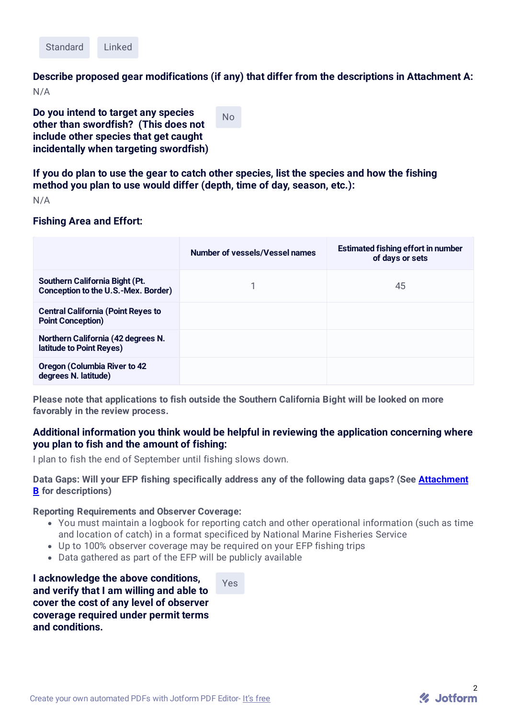

**Describe proposed gear modifications (if any) that differ from the descriptions in Attachment A:** N/A

**Do you intend to target any species other than swordfish? (This does not include other species that get caught incidentally when targeting swordfish)**

No

**If you do plan to use the gear to catch other species, list the species and how the fishing method you plan to use would differ (depth, time of day, season, etc.):**

N/A

### **Fishing Area and Effort:**

|                                                                       | Number of vessels/Vessel names | <b>Estimated fishing effort in number</b><br>of days or sets |
|-----------------------------------------------------------------------|--------------------------------|--------------------------------------------------------------|
| Southern California Bight (Pt.<br>Conception to the U.S.-Mex. Border) |                                | 45                                                           |
| <b>Central California (Point Reyes to</b><br><b>Point Conception)</b> |                                |                                                              |
| Northern California (42 degrees N.<br>latitude to Point Reyes)        |                                |                                                              |
| <b>Oregon (Columbia River to 42)</b><br>degrees N. latitude)          |                                |                                                              |

**Please note that applications to fish outside the Southern California Bight will be looked on more favorably in the review process.**

### **Additional information you think would be helpful in reviewing the application concerning where you plan to fish and the amount of fishing:**

I plan to fish the end of September until fishing slows down.

**Data Gaps: Will your EFP fishing specifically address any of the following data gaps? (See Attachment B for descriptions)**

#### **Reporting Requirements and Observer Coverage:**

- You must maintain a logbook for reporting catch and other operational information (such as time and location of catch) in a format specificed by National Marine Fisheries Service
- Up to 100% observer coverage may be required on your EFP fishing trips
- Data gathered as part of the EFP will be publicly available

**I acknowledge the above conditions, and verify that I am willing and able to cover the cost of any level of observer coverage required under permit terms and conditions.**

Yes